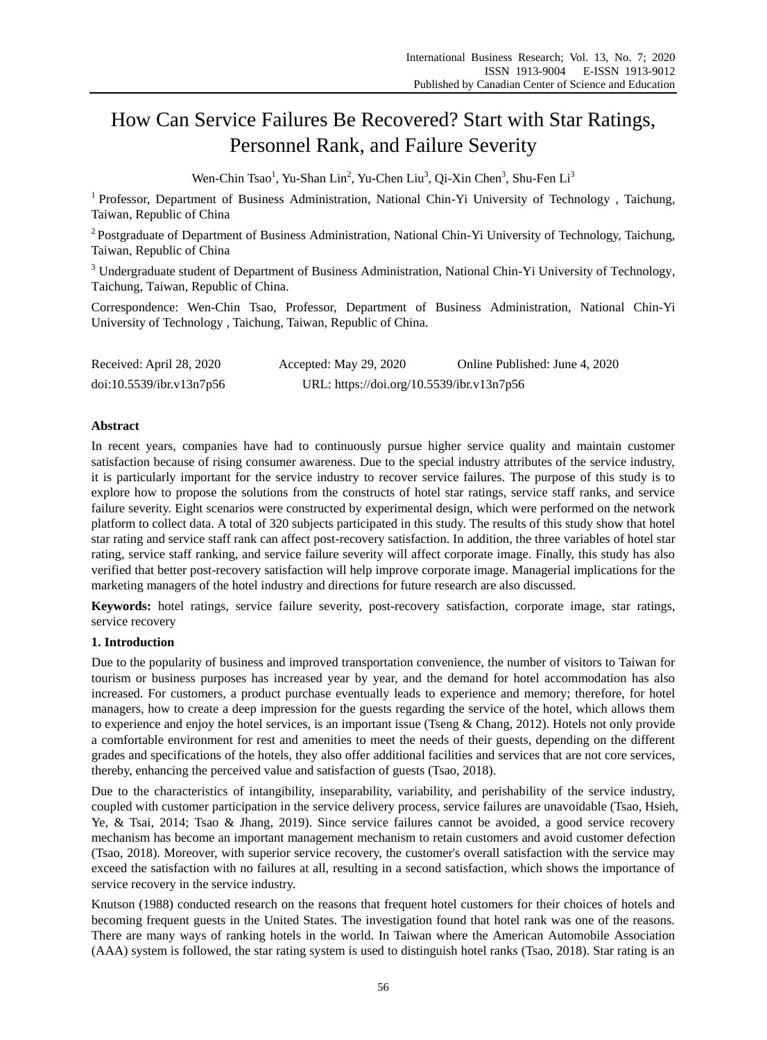# How Can Service Failures Be Recovered? Start with Star Ratings, Personnel Rank, and Failure Severity

Wen-Chin Tsao<sup>1</sup>, Yu-Shan Lin<sup>2</sup>, Yu-Chen Liu<sup>3</sup>, Qi-Xin Chen<sup>3</sup>, Shu-Fen Li<sup>3</sup>

<sup>1</sup> Professor, Department of Business Administration, National Chin-Yi University of Technology, Taichung, Taiwan, Republic of China

<sup>2</sup> Postgraduate of Department of Business Administration, National Chin-Yi University of Technology, Taichung, Taiwan, Republic of China

<sup>3</sup> Undergraduate student of Department of Business Administration, National Chin-Yi University of Technology, Taichung, Taiwan, Republic of China.

Correspondence: Wen-Chin Tsao, Professor, Department of Business Administration, National Chin-Yi University of Technology , Taichung, Taiwan, Republic of China.

| Received: April 28, 2020 | Accepted: May 29, 2020                    | Online Published: June 4, 2020 |
|--------------------------|-------------------------------------------|--------------------------------|
| doi:10.5539/ibr.v13n7p56 | URL: https://doi.org/10.5539/ibr.v13n7p56 |                                |

# **Abstract**

In recent years, companies have had to continuously pursue higher service quality and maintain customer satisfaction because of rising consumer awareness. Due to the special industry attributes of the service industry, it is particularly important for the service industry to recover service failures. The purpose of this study is to explore how to propose the solutions from the constructs of hotel star ratings, service staff ranks, and service failure severity. Eight scenarios were constructed by experimental design, which were performed on the network platform to collect data. A total of 320 subjects participated in this study. The results of this study show that hotel star rating and service staff rank can affect post-recovery satisfaction. In addition, the three variables of hotel star rating, service staff ranking, and service failure severity will affect corporate image. Finally, this study has also verified that better post-recovery satisfaction will help improve corporate image. Managerial implications for the marketing managers of the hotel industry and directions for future research are also discussed.

**Keywords:** hotel ratings, service failure severity, post-recovery satisfaction, corporate image, star ratings, service recovery

# **1. Introduction**

Due to the popularity of business and improved transportation convenience, the number of visitors to Taiwan for tourism or business purposes has increased year by year, and the demand for hotel accommodation has also increased. For customers, a product purchase eventually leads to experience and memory; therefore, for hotel managers, how to create a deep impression for the guests regarding the service of the hotel, which allows them to experience and enjoy the hotel services, is an important issue (Tseng & Chang, 2012). Hotels not only provide a comfortable environment for rest and amenities to meet the needs of their guests, depending on the different grades and specifications of the hotels, they also offer additional facilities and services that are not core services, thereby, enhancing the perceived value and satisfaction of guests (Tsao, 2018).

Due to the characteristics of intangibility, inseparability, variability, and perishability of the service industry, coupled with customer participation in the service delivery process, service failures are unavoidable (Tsao, Hsieh, Ye, & Tsai, 2014; Tsao & Jhang, 2019). Since service failures cannot be avoided, a good service recovery mechanism has become an important management mechanism to retain customers and avoid customer defection (Tsao, 2018). Moreover, with superior service recovery, the customer's overall satisfaction with the service may exceed the satisfaction with no failures at all, resulting in a second satisfaction, which shows the importance of service recovery in the service industry.

Knutson (1988) conducted research on the reasons that frequent hotel customers for their choices of hotels and becoming frequent guests in the United States. The investigation found that hotel rank was one of the reasons. There are many ways of ranking hotels in the world. In Taiwan where the American Automobile Association (AAA) system is followed, the star rating system is used to distinguish hotel ranks (Tsao, 2018). Star rating is an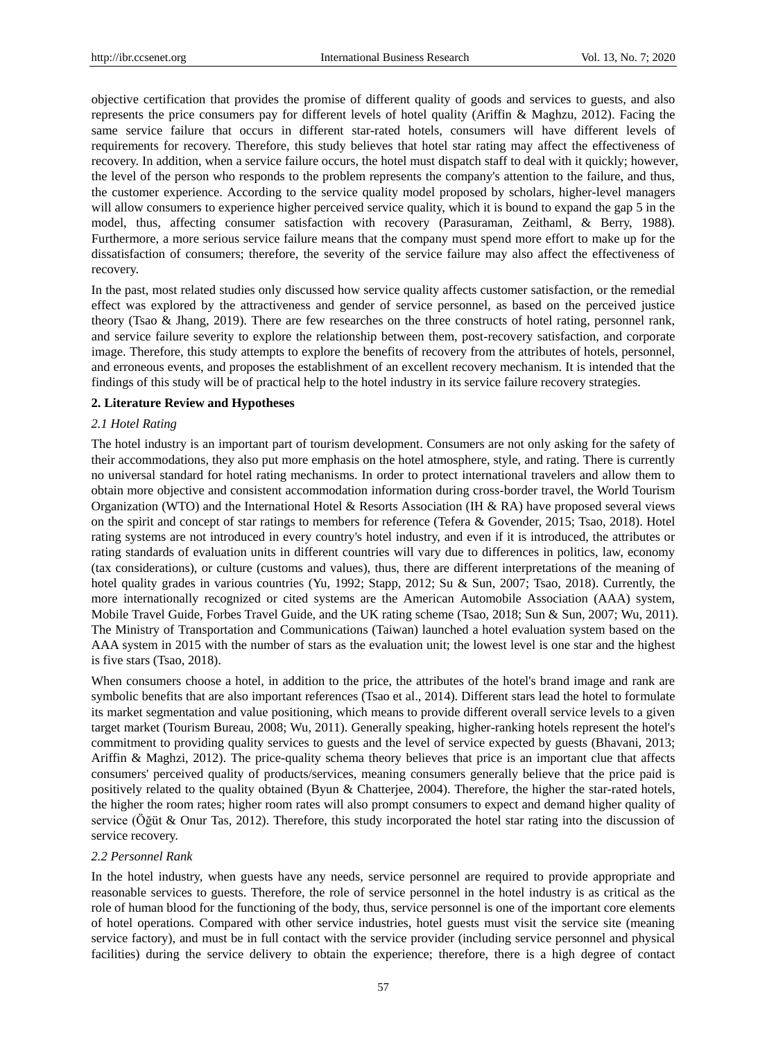objective certification that provides the promise of different quality of goods and services to guests, and also represents the price consumers pay for different levels of hotel quality (Ariffin & Maghzu, 2012). Facing the same service failure that occurs in different star-rated hotels, consumers will have different levels of requirements for recovery. Therefore, this study believes that hotel star rating may affect the effectiveness of recovery. In addition, when a service failure occurs, the hotel must dispatch staff to deal with it quickly; however, the level of the person who responds to the problem represents the company's attention to the failure, and thus, the customer experience. According to the service quality model proposed by scholars, higher-level managers will allow consumers to experience higher perceived service quality, which it is bound to expand the gap 5 in the model, thus, affecting consumer satisfaction with recovery (Parasuraman, Zeithaml, & Berry, 1988). Furthermore, a more serious service failure means that the company must spend more effort to make up for the dissatisfaction of consumers; therefore, the severity of the service failure may also affect the effectiveness of recovery.

In the past, most related studies only discussed how service quality affects customer satisfaction, or the remedial effect was explored by the attractiveness and gender of service personnel, as based on the perceived justice theory (Tsao & Jhang, 2019). There are few researches on the three constructs of hotel rating, personnel rank, and service failure severity to explore the relationship between them, post-recovery satisfaction, and corporate image. Therefore, this study attempts to explore the benefits of recovery from the attributes of hotels, personnel, and erroneous events, and proposes the establishment of an excellent recovery mechanism. It is intended that the findings of this study will be of practical help to the hotel industry in its service failure recovery strategies.

## **2. Literature Review and Hypotheses**

## *2.1 Hotel Rating*

The hotel industry is an important part of tourism development. Consumers are not only asking for the safety of their accommodations, they also put more emphasis on the hotel atmosphere, style, and rating. There is currently no universal standard for hotel rating mechanisms. In order to protect international travelers and allow them to obtain more objective and consistent accommodation information during cross-border travel, the World Tourism Organization (WTO) and the International Hotel & Resorts Association (IH & RA) have proposed several views on the spirit and concept of star ratings to members for reference (Tefera & Govender, 2015; Tsao, 2018). Hotel rating systems are not introduced in every country's hotel industry, and even if it is introduced, the attributes or rating standards of evaluation units in different countries will vary due to differences in politics, law, economy (tax considerations), or culture (customs and values), thus, there are different interpretations of the meaning of hotel quality grades in various countries (Yu, 1992; Stapp, 2012; Su & Sun, 2007; Tsao, 2018). Currently, the more internationally recognized or cited systems are the American Automobile Association (AAA) system, Mobile Travel Guide, Forbes Travel Guide, and the UK rating scheme (Tsao, 2018; Sun & Sun, 2007; Wu, 2011). The Ministry of Transportation and Communications (Taiwan) launched a hotel evaluation system based on the AAA system in 2015 with the number of stars as the evaluation unit; the lowest level is one star and the highest is five stars (Tsao, 2018).

When consumers choose a hotel, in addition to the price, the attributes of the hotel's brand image and rank are symbolic benefits that are also important references (Tsao et al., 2014). Different stars lead the hotel to formulate its market segmentation and value positioning, which means to provide different overall service levels to a given target market (Tourism Bureau, 2008; Wu, 2011). Generally speaking, higher-ranking hotels represent the hotel's commitment to providing quality services to guests and the level of service expected by guests (Bhavani, 2013; Ariffin & Maghzi, 2012). The price-quality schema theory believes that price is an important clue that affects consumers' perceived quality of products/services, meaning consumers generally believe that the price paid is positively related to the quality obtained (Byun & Chatterjee, 2004). Therefore, the higher the star-rated hotels, the higher the room rates; higher room rates will also prompt consumers to expect and demand higher quality of service (Öğüt & Onur Tas, 2012). Therefore, this study incorporated the hotel star rating into the discussion of service recovery.

## *2.2 Personnel Rank*

In the hotel industry, when guests have any needs, service personnel are required to provide appropriate and reasonable services to guests. Therefore, the role of service personnel in the hotel industry is as critical as the role of human blood for the functioning of the body, thus, service personnel is one of the important core elements of hotel operations. Compared with other service industries, hotel guests must visit the service site (meaning service factory), and must be in full contact with the service provider (including service personnel and physical facilities) during the service delivery to obtain the experience; therefore, there is a high degree of contact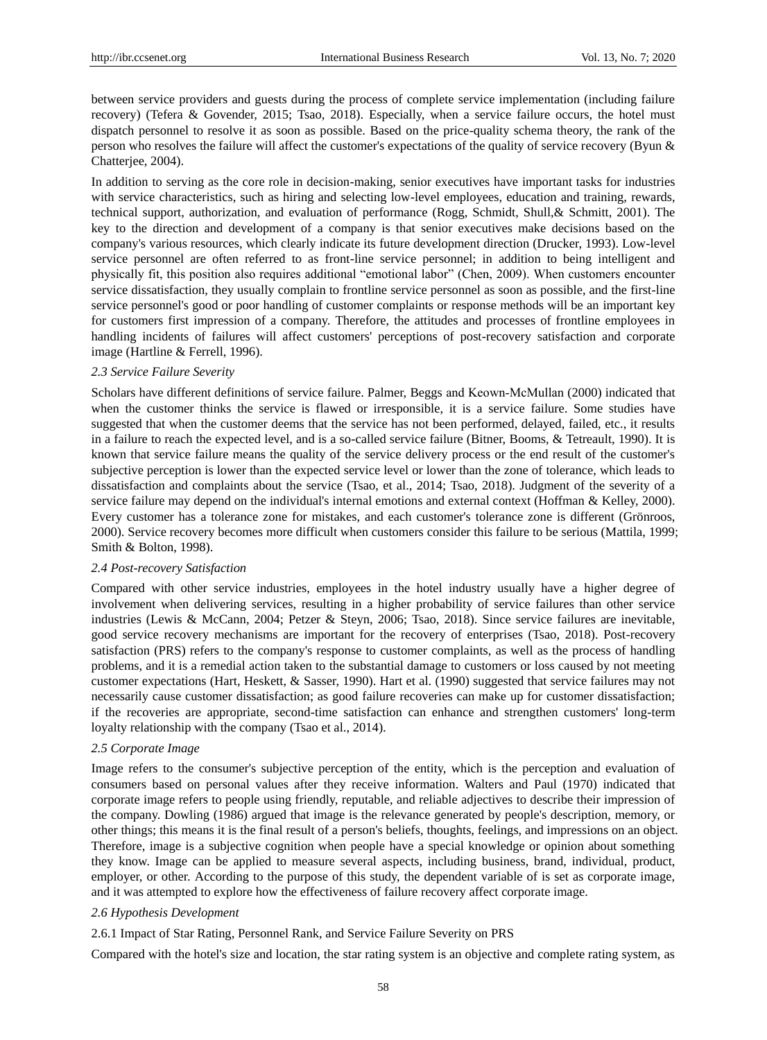between service providers and guests during the process of complete service implementation (including failure recovery) (Tefera & Govender, 2015; Tsao, 2018). Especially, when a service failure occurs, the hotel must dispatch personnel to resolve it as soon as possible. Based on the price-quality schema theory, the rank of the person who resolves the failure will affect the customer's expectations of the quality of service recovery (Byun & Chatterjee, 2004).

In addition to serving as the core role in decision-making, senior executives have important tasks for industries with service characteristics, such as hiring and selecting low-level employees, education and training, rewards, technical support, authorization, and evaluation of performance (Rogg, Schmidt, Shull,& Schmitt, 2001). The key to the direction and development of a company is that senior executives make decisions based on the company's various resources, which clearly indicate its future development direction (Drucker, 1993). Low-level service personnel are often referred to as front-line service personnel; in addition to being intelligent and physically fit, this position also requires additional "emotional labor" (Chen, 2009). When customers encounter service dissatisfaction, they usually complain to frontline service personnel as soon as possible, and the first-line service personnel's good or poor handling of customer complaints or response methods will be an important key for customers first impression of a company. Therefore, the attitudes and processes of frontline employees in handling incidents of failures will affect customers' perceptions of post-recovery satisfaction and corporate image (Hartline & Ferrell, 1996).

# *2.3 Service Failure Severity*

Scholars have different definitions of service failure. Palmer, Beggs and Keown‐McMullan (2000) indicated that when the customer thinks the service is flawed or irresponsible, it is a service failure. Some studies have suggested that when the customer deems that the service has not been performed, delayed, failed, etc., it results in a failure to reach the expected level, and is a so-called service failure (Bitner, Booms, & Tetreault, 1990). It is known that service failure means the quality of the service delivery process or the end result of the customer's subjective perception is lower than the expected service level or lower than the zone of tolerance, which leads to dissatisfaction and complaints about the service (Tsao, et al., 2014; Tsao, 2018). Judgment of the severity of a service failure may depend on the individual's internal emotions and external context (Hoffman & Kelley, 2000). Every customer has a tolerance zone for mistakes, and each customer's tolerance zone is different (Grönroos, 2000). Service recovery becomes more difficult when customers consider this failure to be serious (Mattila, 1999; Smith & Bolton, 1998).

## *2.4 Post-recovery Satisfaction*

Compared with other service industries, employees in the hotel industry usually have a higher degree of involvement when delivering services, resulting in a higher probability of service failures than other service industries (Lewis & McCann, 2004; Petzer & Steyn, 2006; Tsao, 2018). Since service failures are inevitable, good service recovery mechanisms are important for the recovery of enterprises (Tsao, 2018). Post-recovery satisfaction (PRS) refers to the company's response to customer complaints, as well as the process of handling problems, and it is a remedial action taken to the substantial damage to customers or loss caused by not meeting customer expectations (Hart, Heskett, & Sasser, 1990). Hart et al. (1990) suggested that service failures may not necessarily cause customer dissatisfaction; as good failure recoveries can make up for customer dissatisfaction; if the recoveries are appropriate, second-time satisfaction can enhance and strengthen customers' long-term loyalty relationship with the company (Tsao et al., 2014).

# *2.5 Corporate Image*

Image refers to the consumer's subjective perception of the entity, which is the perception and evaluation of consumers based on personal values after they receive information. Walters and Paul (1970) indicated that corporate image refers to people using friendly, reputable, and reliable adjectives to describe their impression of the company. Dowling (1986) argued that image is the relevance generated by people's description, memory, or other things; this means it is the final result of a person's beliefs, thoughts, feelings, and impressions on an object. Therefore, image is a subjective cognition when people have a special knowledge or opinion about something they know. Image can be applied to measure several aspects, including business, brand, individual, product, employer, or other. According to the purpose of this study, the dependent variable of is set as corporate image, and it was attempted to explore how the effectiveness of failure recovery affect corporate image.

#### *2.6 Hypothesis Development*

2.6.1 Impact of Star Rating, Personnel Rank, and Service Failure Severity on PRS

Compared with the hotel's size and location, the star rating system is an objective and complete rating system, as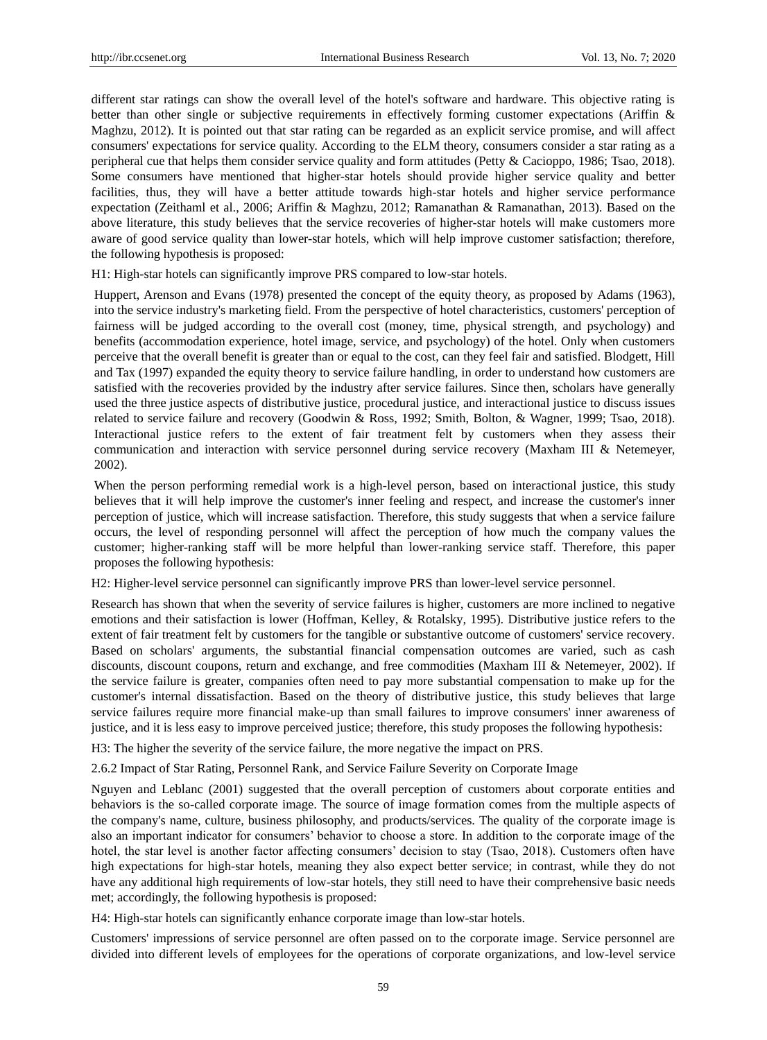different star ratings can show the overall level of the hotel's software and hardware. This objective rating is better than other single or subjective requirements in effectively forming customer expectations (Ariffin & Maghzu, 2012). It is pointed out that star rating can be regarded as an explicit service promise, and will affect consumers' expectations for service quality. According to the ELM theory, consumers consider a star rating as a peripheral cue that helps them consider service quality and form attitudes (Petty & Cacioppo, 1986; Tsao, 2018). Some consumers have mentioned that higher-star hotels should provide higher service quality and better facilities, thus, they will have a better attitude towards high-star hotels and higher service performance expectation (Zeithaml et al., 2006; Ariffin & Maghzu, 2012; Ramanathan & Ramanathan, 2013). Based on the above literature, this study believes that the service recoveries of higher-star hotels will make customers more aware of good service quality than lower-star hotels, which will help improve customer satisfaction; therefore, the following hypothesis is proposed:

H1: High-star hotels can significantly improve PRS compared to low-star hotels.

Huppert, Arenson and Evans (1978) presented the concept of the equity theory, as proposed by Adams (1963), into the service industry's marketing field. From the perspective of hotel characteristics, customers' perception of fairness will be judged according to the overall cost (money, time, physical strength, and psychology) and benefits (accommodation experience, hotel image, service, and psychology) of the hotel. Only when customers perceive that the overall benefit is greater than or equal to the cost, can they feel fair and satisfied. Blodgett, Hill and Tax (1997) expanded the equity theory to service failure handling, in order to understand how customers are satisfied with the recoveries provided by the industry after service failures. Since then, scholars have generally used the three justice aspects of distributive justice, procedural justice, and interactional justice to discuss issues related to service failure and recovery (Goodwin & Ross, 1992; Smith, Bolton, & Wagner, 1999; Tsao, 2018). Interactional justice refers to the extent of fair treatment felt by customers when they assess their communication and interaction with service personnel during service recovery (Maxham III & Netemeyer, 2002).

When the person performing remedial work is a high-level person, based on interactional justice, this study believes that it will help improve the customer's inner feeling and respect, and increase the customer's inner perception of justice, which will increase satisfaction. Therefore, this study suggests that when a service failure occurs, the level of responding personnel will affect the perception of how much the company values the customer; higher-ranking staff will be more helpful than lower-ranking service staff. Therefore, this paper proposes the following hypothesis:

H2: Higher-level service personnel can significantly improve PRS than lower-level service personnel.

Research has shown that when the severity of service failures is higher, customers are more inclined to negative emotions and their satisfaction is lower (Hoffman, Kelley, & Rotalsky, 1995). Distributive justice refers to the extent of fair treatment felt by customers for the tangible or substantive outcome of customers' service recovery. Based on scholars' arguments, the substantial financial compensation outcomes are varied, such as cash discounts, discount coupons, return and exchange, and free commodities (Maxham III & Netemeyer, 2002). If the service failure is greater, companies often need to pay more substantial compensation to make up for the customer's internal dissatisfaction. Based on the theory of distributive justice, this study believes that large service failures require more financial make-up than small failures to improve consumers' inner awareness of justice, and it is less easy to improve perceived justice; therefore, this study proposes the following hypothesis:

H3: The higher the severity of the service failure, the more negative the impact on PRS.

2.6.2 Impact of Star Rating, Personnel Rank, and Service Failure Severity on Corporate Image

Nguyen and Leblanc (2001) suggested that the overall perception of customers about corporate entities and behaviors is the so-called corporate image. The source of image formation comes from the multiple aspects of the company's name, culture, business philosophy, and products/services. The quality of the corporate image is also an important indicator for consumers' behavior to choose a store. In addition to the corporate image of the hotel, the star level is another factor affecting consumers' decision to stay (Tsao, 2018). Customers often have high expectations for high-star hotels, meaning they also expect better service; in contrast, while they do not have any additional high requirements of low-star hotels, they still need to have their comprehensive basic needs met; accordingly, the following hypothesis is proposed:

H4: High-star hotels can significantly enhance corporate image than low-star hotels.

Customers' impressions of service personnel are often passed on to the corporate image. Service personnel are divided into different levels of employees for the operations of corporate organizations, and low-level service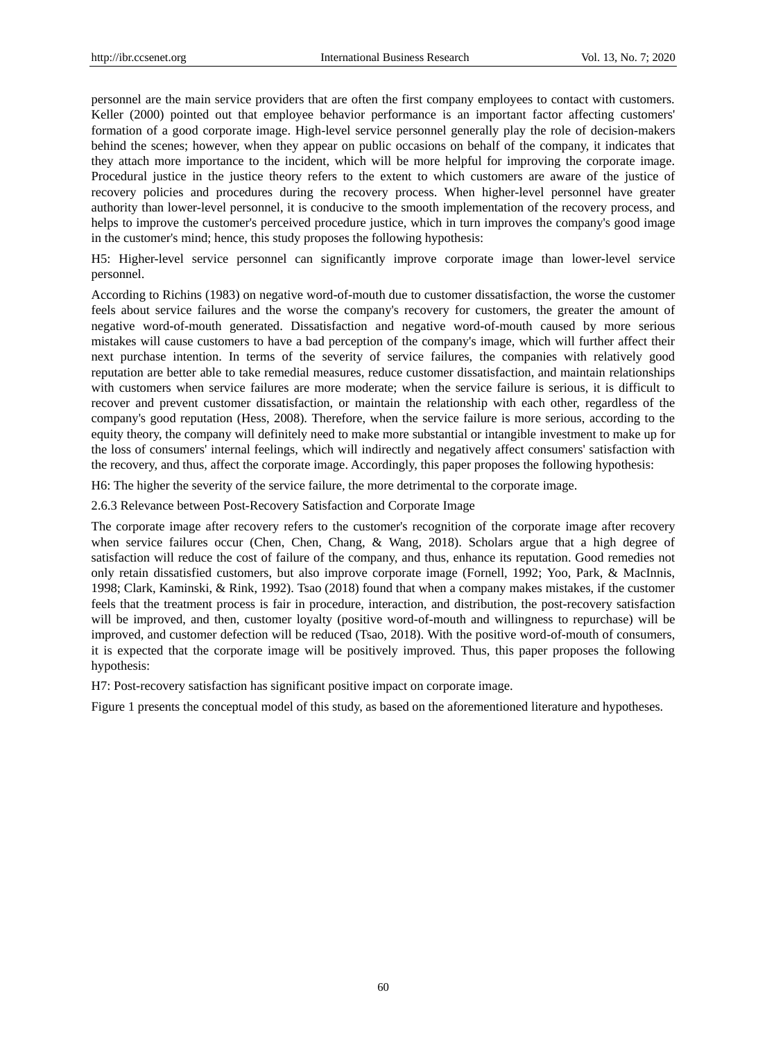personnel are the main service providers that are often the first company employees to contact with customers. Keller (2000) pointed out that employee behavior performance is an important factor affecting customers' formation of a good corporate image. High-level service personnel generally play the role of decision-makers behind the scenes; however, when they appear on public occasions on behalf of the company, it indicates that they attach more importance to the incident, which will be more helpful for improving the corporate image. Procedural justice in the justice theory refers to the extent to which customers are aware of the justice of recovery policies and procedures during the recovery process. When higher-level personnel have greater authority than lower-level personnel, it is conducive to the smooth implementation of the recovery process, and helps to improve the customer's perceived procedure justice, which in turn improves the company's good image in the customer's mind; hence, this study proposes the following hypothesis:

H5: Higher-level service personnel can significantly improve corporate image than lower-level service personnel.

According to Richins (1983) on negative word-of-mouth due to customer dissatisfaction, the worse the customer feels about service failures and the worse the company's recovery for customers, the greater the amount of negative word-of-mouth generated. Dissatisfaction and negative word-of-mouth caused by more serious mistakes will cause customers to have a bad perception of the company's image, which will further affect their next purchase intention. In terms of the severity of service failures, the companies with relatively good reputation are better able to take remedial measures, reduce customer dissatisfaction, and maintain relationships with customers when service failures are more moderate; when the service failure is serious, it is difficult to recover and prevent customer dissatisfaction, or maintain the relationship with each other, regardless of the company's good reputation (Hess, 2008). Therefore, when the service failure is more serious, according to the equity theory, the company will definitely need to make more substantial or intangible investment to make up for the loss of consumers' internal feelings, which will indirectly and negatively affect consumers' satisfaction with the recovery, and thus, affect the corporate image. Accordingly, this paper proposes the following hypothesis:

H6: The higher the severity of the service failure, the more detrimental to the corporate image.

2.6.3 Relevance between Post-Recovery Satisfaction and Corporate Image

The corporate image after recovery refers to the customer's recognition of the corporate image after recovery when service failures occur (Chen, Chen, Chang, & Wang, 2018). Scholars argue that a high degree of satisfaction will reduce the cost of failure of the company, and thus, enhance its reputation. Good remedies not only retain dissatisfied customers, but also improve corporate image (Fornell, 1992; Yoo, Park, & MacInnis, 1998; Clark, Kaminski, & Rink, 1992). Tsao (2018) found that when a company makes mistakes, if the customer feels that the treatment process is fair in procedure, interaction, and distribution, the post-recovery satisfaction will be improved, and then, customer loyalty (positive word-of-mouth and willingness to repurchase) will be improved, and customer defection will be reduced (Tsao, 2018). With the positive word-of-mouth of consumers, it is expected that the corporate image will be positively improved. Thus, this paper proposes the following hypothesis:

H7: Post-recovery satisfaction has significant positive impact on corporate image.

Figure 1 presents the conceptual model of this study, as based on the aforementioned literature and hypotheses.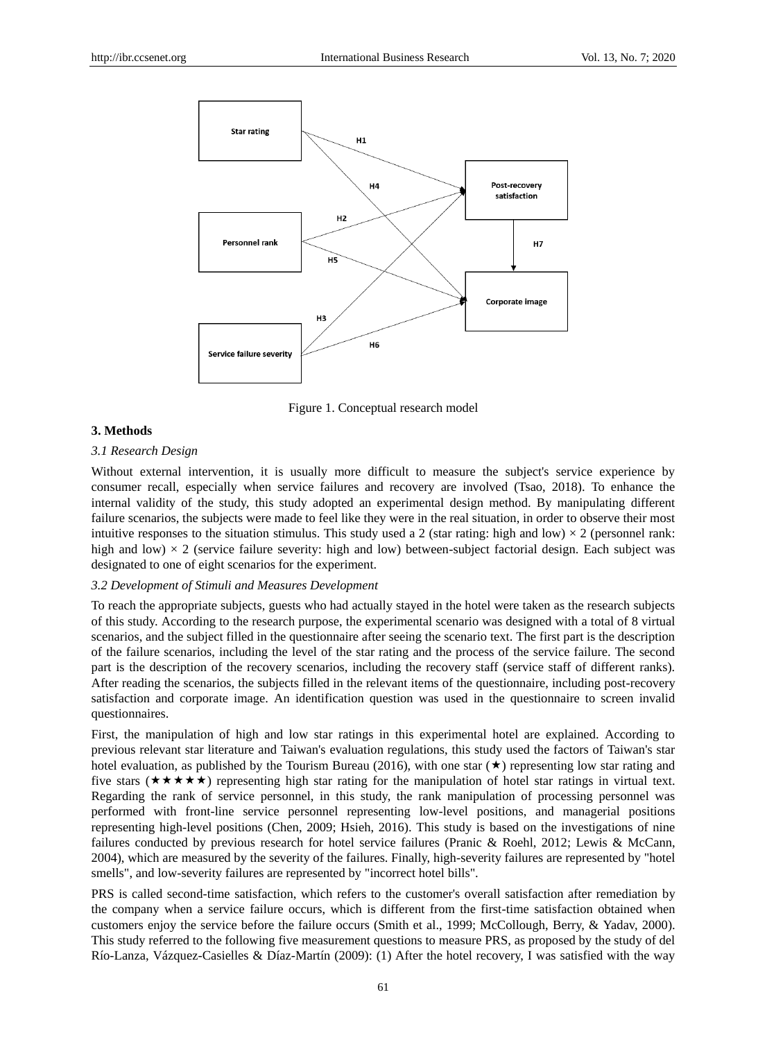

Figure 1. Conceptual research model

## **3. Methods**

# *3.1 Research Design*

Without external intervention, it is usually more difficult to measure the subject's service experience by consumer recall, especially when service failures and recovery are involved (Tsao, 2018). To enhance the internal validity of the study, this study adopted an experimental design method. By manipulating different failure scenarios, the subjects were made to feel like they were in the real situation, in order to observe their most intuitive responses to the situation stimulus. This study used a 2 (star rating: high and low)  $\times$  2 (personnel rank: high and low)  $\times$  2 (service failure severity: high and low) between-subject factorial design. Each subject was designated to one of eight scenarios for the experiment.

# *3.2 Development of Stimuli and Measures Development*

To reach the appropriate subjects, guests who had actually stayed in the hotel were taken as the research subjects of this study. According to the research purpose, the experimental scenario was designed with a total of 8 virtual scenarios, and the subject filled in the questionnaire after seeing the scenario text. The first part is the description of the failure scenarios, including the level of the star rating and the process of the service failure. The second part is the description of the recovery scenarios, including the recovery staff (service staff of different ranks). After reading the scenarios, the subjects filled in the relevant items of the questionnaire, including post-recovery satisfaction and corporate image. An identification question was used in the questionnaire to screen invalid questionnaires.

First, the manipulation of high and low star ratings in this experimental hotel are explained. According to previous relevant star literature and Taiwan's evaluation regulations, this study used the factors of Taiwan's star hotel evaluation, as published by the Tourism Bureau (2016), with one star  $(\star)$  representing low star rating and five stars ( $\star \star \star \star$ ) representing high star rating for the manipulation of hotel star ratings in virtual text. Regarding the rank of service personnel, in this study, the rank manipulation of processing personnel was performed with front-line service personnel representing low-level positions, and managerial positions representing high-level positions (Chen, 2009; Hsieh, 2016). This study is based on the investigations of nine failures conducted by previous research for hotel service failures (Pranic & Roehl, 2012; Lewis & McCann, 2004), which are measured by the severity of the failures. Finally, high-severity failures are represented by "hotel smells", and low-severity failures are represented by "incorrect hotel bills".

PRS is called second-time satisfaction, which refers to the customer's overall satisfaction after remediation by the company when a service failure occurs, which is different from the first-time satisfaction obtained when customers enjoy the service before the failure occurs (Smith et al., 1999; McCollough, Berry, & Yadav, 2000). This study referred to the following five measurement questions to measure PRS, as proposed by the study of del R 6-Lanza, V ázquez-Casielles & D áz-Mart n (2009): (1) After the hotel recovery, I was satisfied with the way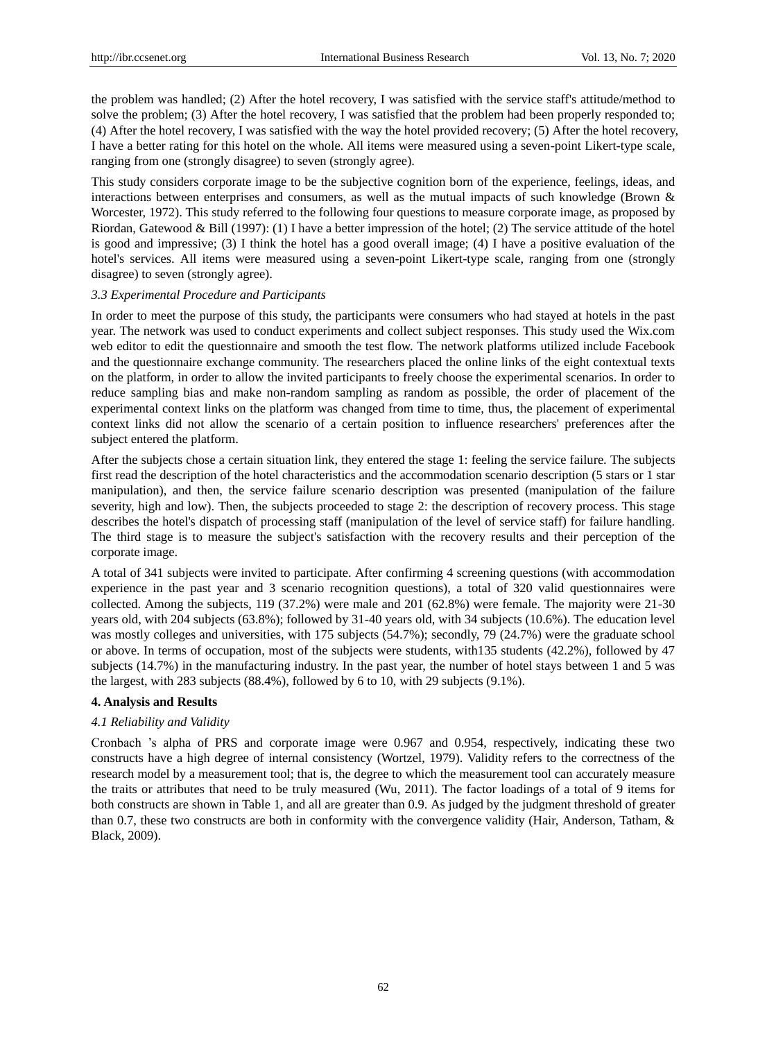the problem was handled; (2) After the hotel recovery, I was satisfied with the service staff's attitude/method to solve the problem; (3) After the hotel recovery, I was satisfied that the problem had been properly responded to; (4) After the hotel recovery, I was satisfied with the way the hotel provided recovery; (5) After the hotel recovery, I have a better rating for this hotel on the whole. All items were measured using a seven-point Likert-type scale, ranging from one (strongly disagree) to seven (strongly agree).

This study considers corporate image to be the subjective cognition born of the experience, feelings, ideas, and interactions between enterprises and consumers, as well as the mutual impacts of such knowledge (Brown & Worcester, 1972). This study referred to the following four questions to measure corporate image, as proposed by Riordan, Gatewood & Bill (1997): (1) I have a better impression of the hotel; (2) The service attitude of the hotel is good and impressive; (3) I think the hotel has a good overall image; (4) I have a positive evaluation of the hotel's services. All items were measured using a seven-point Likert-type scale, ranging from one (strongly disagree) to seven (strongly agree).

# *3.3 Experimental Procedure and Participants*

In order to meet the purpose of this study, the participants were consumers who had stayed at hotels in the past year. The network was used to conduct experiments and collect subject responses. This study used the Wix.com web editor to edit the questionnaire and smooth the test flow. The network platforms utilized include Facebook and the questionnaire exchange community. The researchers placed the online links of the eight contextual texts on the platform, in order to allow the invited participants to freely choose the experimental scenarios. In order to reduce sampling bias and make non-random sampling as random as possible, the order of placement of the experimental context links on the platform was changed from time to time, thus, the placement of experimental context links did not allow the scenario of a certain position to influence researchers' preferences after the subject entered the platform.

After the subjects chose a certain situation link, they entered the stage 1: feeling the service failure. The subjects first read the description of the hotel characteristics and the accommodation scenario description (5 stars or 1 star manipulation), and then, the service failure scenario description was presented (manipulation of the failure severity, high and low). Then, the subjects proceeded to stage 2: the description of recovery process. This stage describes the hotel's dispatch of processing staff (manipulation of the level of service staff) for failure handling. The third stage is to measure the subject's satisfaction with the recovery results and their perception of the corporate image.

A total of 341 subjects were invited to participate. After confirming 4 screening questions (with accommodation experience in the past year and 3 scenario recognition questions), a total of 320 valid questionnaires were collected. Among the subjects, 119 (37.2%) were male and 201 (62.8%) were female. The majority were 21-30 years old, with 204 subjects (63.8%); followed by 31-40 years old, with 34 subjects (10.6%). The education level was mostly colleges and universities, with 175 subjects (54.7%); secondly, 79 (24.7%) were the graduate school or above. In terms of occupation, most of the subjects were students, with135 students (42.2%), followed by 47 subjects (14.7%) in the manufacturing industry. In the past year, the number of hotel stays between 1 and 5 was the largest, with 283 subjects (88.4%), followed by 6 to 10, with 29 subjects (9.1%).

## **4. Analysis and Results**

# *4.1 Reliability and Validity*

Cronbach 's alpha of PRS and corporate image were 0.967 and 0.954, respectively, indicating these two constructs have a high degree of internal consistency (Wortzel, 1979). Validity refers to the correctness of the research model by a measurement tool; that is, the degree to which the measurement tool can accurately measure the traits or attributes that need to be truly measured (Wu, 2011). The factor loadings of a total of 9 items for both constructs are shown in Table 1, and all are greater than 0.9. As judged by the judgment threshold of greater than 0.7, these two constructs are both in conformity with the convergence validity (Hair, Anderson, Tatham, & Black, 2009).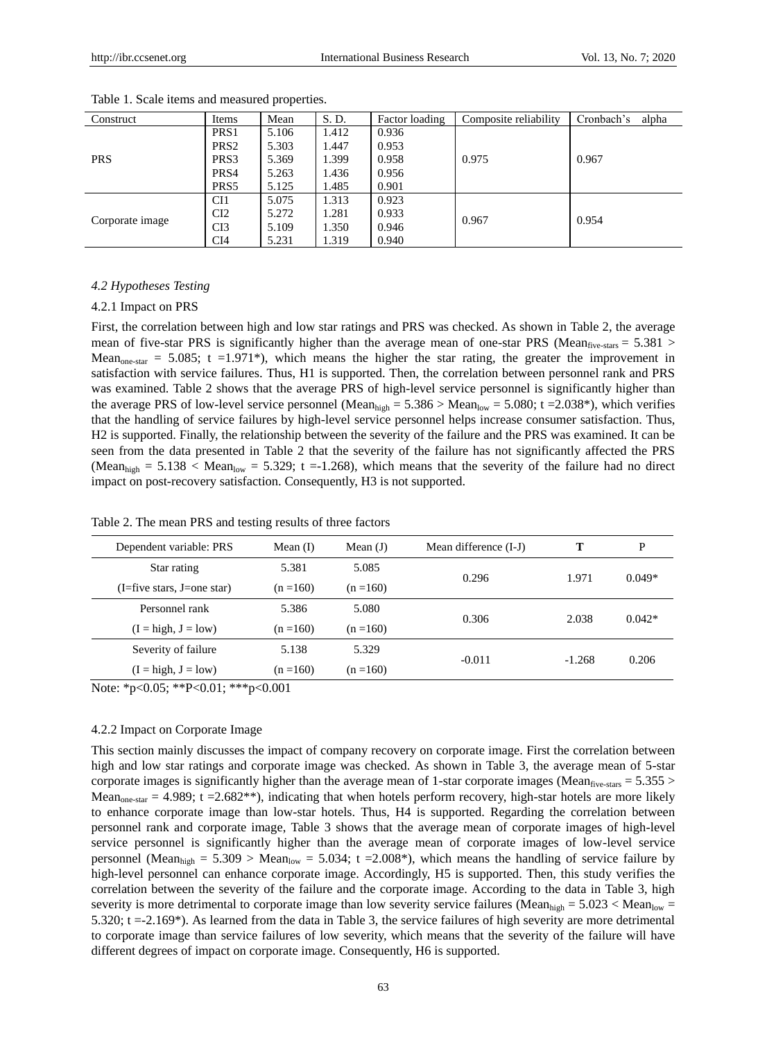| Construct       | Items            | Mean  | S.D.  | Factor loading | Composite reliability | Cronbach's<br>alpha |  |
|-----------------|------------------|-------|-------|----------------|-----------------------|---------------------|--|
|                 | PRS <sub>1</sub> | 5.106 | 1.412 | 0.936          |                       | 0.967               |  |
|                 | PRS <sub>2</sub> | 5.303 | 1.447 | 0.953          |                       |                     |  |
| <b>PRS</b>      | PRS3             | 5.369 | 1.399 | 0.958          | 0.975                 |                     |  |
|                 | PRS4             | 5.263 | 1.436 | 0.956          |                       |                     |  |
|                 | PRS5             | 5.125 | 1.485 | 0.901          |                       |                     |  |
| Corporate image | CI1              | 5.075 | 1.313 | 0.923          |                       | 0.954               |  |
|                 | CI2              | 5.272 | 1.281 | 0.933          | 0.967                 |                     |  |
|                 | CI3              | 5.109 | 1.350 | 0.946          |                       |                     |  |
|                 | CI <sub>4</sub>  | 5.231 | 1.319 | 0.940          |                       |                     |  |

Table 1. Scale items and measured properties.

# *4.2 Hypotheses Testing*

#### 4.2.1 Impact on PRS

First, the correlation between high and low star ratings and PRS was checked. As shown in Table 2, the average mean of five-star PRS is significantly higher than the average mean of one-star PRS (Mean $_{\rm five\text{-stars}}$  = 5.381 > Mean<sub>one-star</sub> = 5.085; t =1.971\*), which means the higher the star rating, the greater the improvement in satisfaction with service failures. Thus, H1 is supported. Then, the correlation between personnel rank and PRS was examined. Table 2 shows that the average PRS of high-level service personnel is significantly higher than the average PRS of low-level service personnel (Mean<sub>high</sub> = 5.386 > Mean<sub>low</sub> = 5.080; t = 2.038<sup>\*</sup>), which verifies that the handling of service failures by high-level service personnel helps increase consumer satisfaction. Thus, H2 is supported. Finally, the relationship between the severity of the failure and the PRS was examined. It can be seen from the data presented in Table 2 that the severity of the failure has not significantly affected the PRS (Mean<sub>high</sub> = 5.138 < Mean<sub>low</sub> = 5.329; t = 1.268), which means that the severity of the failure had no direct impact on post-recovery satisfaction. Consequently, H3 is not supported.

|  | Table 2. The mean PRS and testing results of three factors |  |  |  |
|--|------------------------------------------------------------|--|--|--|
|  |                                                            |  |  |  |

| Dependent variable: PRS                        | Mean $(I)$  | Mean $(J)$  | Mean difference (I-J) |          | P        |
|------------------------------------------------|-------------|-------------|-----------------------|----------|----------|
| Star rating                                    | 5.381       | 5.085       | 0.296                 | 1.971    | $0.049*$ |
| $(I = \text{five stars}, I = \text{one star})$ | $(n = 160)$ | $(n = 160)$ |                       |          |          |
| Personnel rank                                 | 5.386       | 5.080       | 0.306                 | 2.038    | $0.042*$ |
| $(I = high, J = low)$                          | $(n = 160)$ | $(n = 160)$ |                       |          |          |
| Severity of failure                            | 5.138       | 5.329       | $-0.011$              | $-1.268$ | 0.206    |
| $(I = high, J = low)$                          | $(n = 160)$ | $(n = 160)$ |                       |          |          |

Note: \*p<0.05; \*\*P<0.01; \*\*\*p<0.001

#### 4.2.2 Impact on Corporate Image

This section mainly discusses the impact of company recovery on corporate image. First the correlation between high and low star ratings and corporate image was checked. As shown in Table 3, the average mean of 5-star corporate images is significantly higher than the average mean of 1-star corporate images (Mean $_{\rm five\,stars} = 5.355 >$ Mean<sub>one-star</sub> = 4.989; t = 2.682<sup>\*\*</sup>), indicating that when hotels perform recovery, high-star hotels are more likely to enhance corporate image than low-star hotels. Thus, H4 is supported. Regarding the correlation between personnel rank and corporate image, Table 3 shows that the average mean of corporate images of high-level service personnel is significantly higher than the average mean of corporate images of low-level service personnel (Mean<sub>high</sub> = 5.309 > Mean<sub>low</sub> = 5.034; t = 2.008\*), which means the handling of service failure by high-level personnel can enhance corporate image. Accordingly, H5 is supported. Then, this study verifies the correlation between the severity of the failure and the corporate image. According to the data in Table 3, high severity is more detrimental to corporate image than low severity service failures (Mean<sub>high</sub> = 5.023 < Mean<sub>low</sub> = 5.320;  $t = -2.169$ <sup>\*</sup>). As learned from the data in Table 3, the service failures of high severity are more detrimental to corporate image than service failures of low severity, which means that the severity of the failure will have different degrees of impact on corporate image. Consequently, H6 is supported.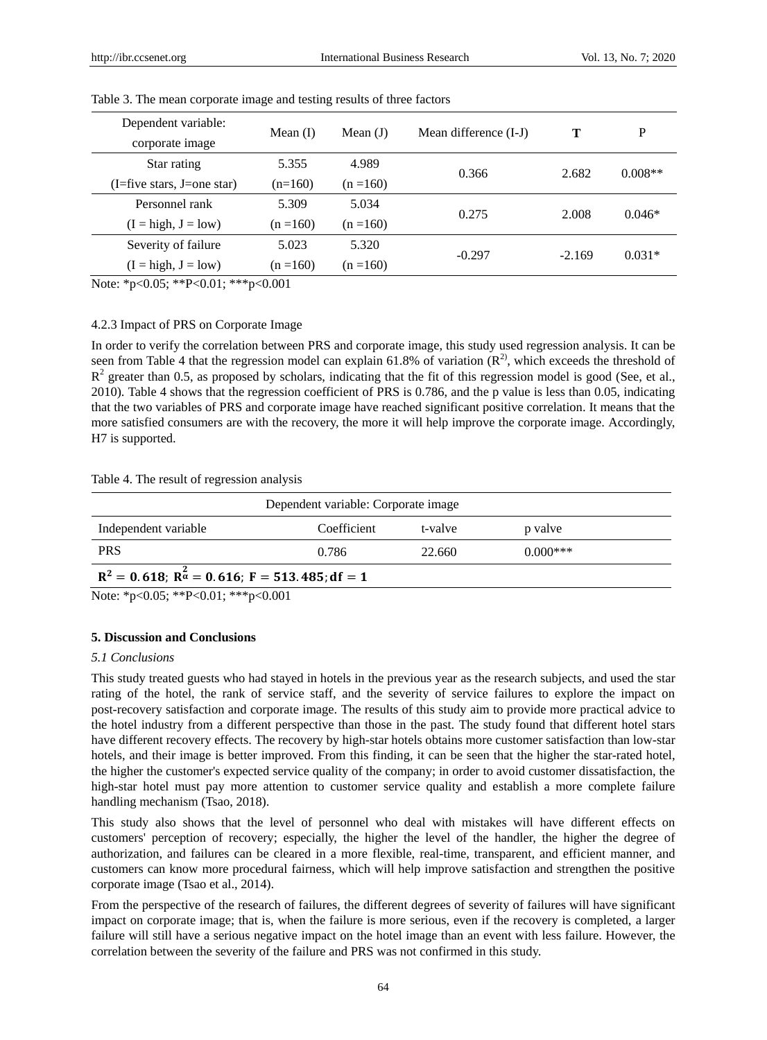| Dependent variable:                            |             |             |                       |          | P         |
|------------------------------------------------|-------------|-------------|-----------------------|----------|-----------|
| corporate image                                | Mean $(I)$  | Mean $(J)$  | Mean difference (I-J) |          |           |
| Star rating                                    | 5.355       | 4.989       | 0.366                 |          | $0.008**$ |
| $(I = \text{five stars}, I = \text{one star})$ | $(n=160)$   | $(n = 160)$ |                       | 2.682    |           |
| Personnel rank                                 | 5.309       | 5.034       | 0.275                 | 2.008    | $0.046*$  |
| $(I = high, J = low)$                          | $(n = 160)$ | $(n = 160)$ |                       |          |           |
| Severity of failure                            | 5.023       | 5.320       |                       |          |           |
| $(I = high, J = low)$                          | $(n = 160)$ | $(n = 160)$ | $-0.297$              | $-2.169$ | $0.031*$  |

Table 3. The mean corporate image and testing results of three factors

Note: \*p<0.05; \*\*P<0.01; \*\*\*p<0.001

# 4.2.3 Impact of PRS on Corporate Image

In order to verify the correlation between PRS and corporate image, this study used regression analysis. It can be seen from Table 4 that the regression model can explain 61.8% of variation  $(R^2)$ , which exceeds the threshold of  $R<sup>2</sup>$  greater than 0.5, as proposed by scholars, indicating that the fit of this regression model is good (See, et al., 2010). Table 4 shows that the regression coefficient of PRS is 0.786, and the p value is less than 0.05, indicating that the two variables of PRS and corporate image have reached significant positive correlation. It means that the more satisfied consumers are with the recovery, the more it will help improve the corporate image. Accordingly, H7 is supported.

## Table 4. The result of regression analysis

| Dependent variable: Corporate image                                                                                                          |             |         |            |  |  |  |
|----------------------------------------------------------------------------------------------------------------------------------------------|-------------|---------|------------|--|--|--|
| Independent variable                                                                                                                         | Coefficient | t-valve | p valve    |  |  |  |
| <b>PRS</b>                                                                                                                                   | 0.786       | 22.660  | $0.000***$ |  |  |  |
| $R^2 = 0.618$ ; $R^2 = 0.616$ ; $F = 513.485$ ; df = 1                                                                                       |             |         |            |  |  |  |
| $N_{\text{min}}$ $\star$ $\sim$ $\Omega$ $\Omega$ $\bar{z}$ , $\star$ $\star$ $\Omega$ $\Omega$ $\Omega$ $\Omega$ $\Omega$ $\Omega$ $\Omega$ |             |         |            |  |  |  |

Note: \*p<0.05; \*\*P<0.01; \*\*\*p<0.001

## **5. Discussion and Conclusions**

#### *5.1 Conclusions*

This study treated guests who had stayed in hotels in the previous year as the research subjects, and used the star rating of the hotel, the rank of service staff, and the severity of service failures to explore the impact on post-recovery satisfaction and corporate image. The results of this study aim to provide more practical advice to the hotel industry from a different perspective than those in the past. The study found that different hotel stars have different recovery effects. The recovery by high-star hotels obtains more customer satisfaction than low-star hotels, and their image is better improved. From this finding, it can be seen that the higher the star-rated hotel, the higher the customer's expected service quality of the company; in order to avoid customer dissatisfaction, the high-star hotel must pay more attention to customer service quality and establish a more complete failure handling mechanism (Tsao, 2018).

This study also shows that the level of personnel who deal with mistakes will have different effects on customers' perception of recovery; especially, the higher the level of the handler, the higher the degree of authorization, and failures can be cleared in a more flexible, real-time, transparent, and efficient manner, and customers can know more procedural fairness, which will help improve satisfaction and strengthen the positive corporate image (Tsao et al., 2014).

From the perspective of the research of failures, the different degrees of severity of failures will have significant impact on corporate image; that is, when the failure is more serious, even if the recovery is completed, a larger failure will still have a serious negative impact on the hotel image than an event with less failure. However, the correlation between the severity of the failure and PRS was not confirmed in this study.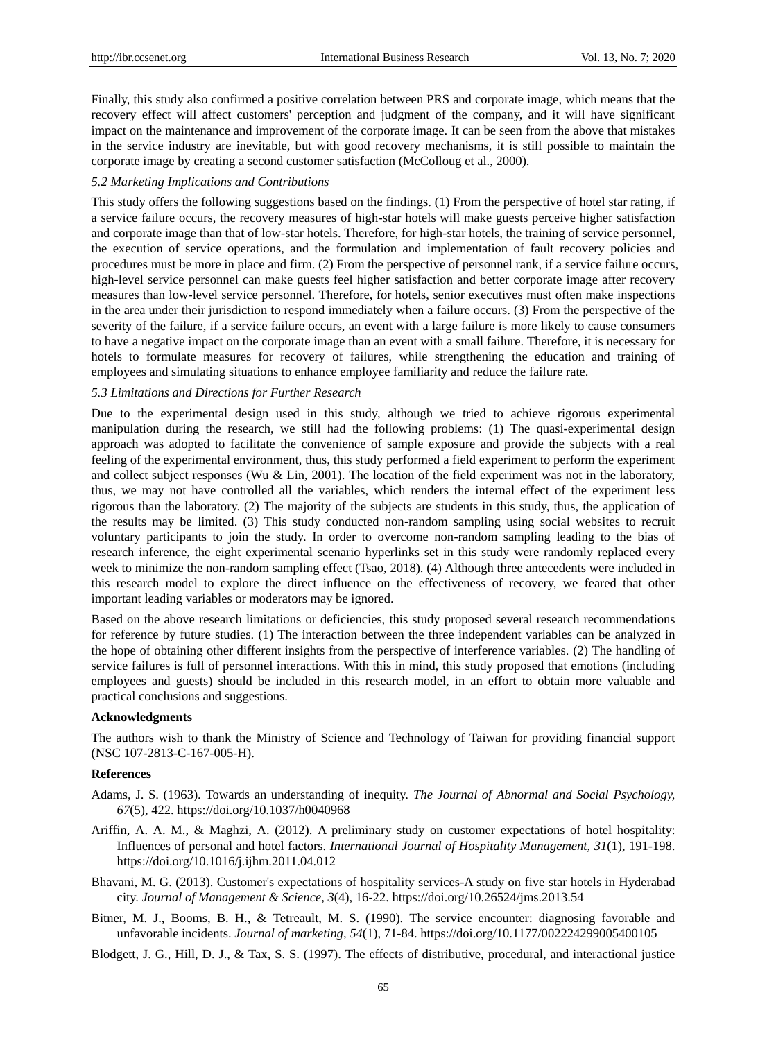Finally, this study also confirmed a positive correlation between PRS and corporate image, which means that the recovery effect will affect customers' perception and judgment of the company, and it will have significant impact on the maintenance and improvement of the corporate image. It can be seen from the above that mistakes in the service industry are inevitable, but with good recovery mechanisms, it is still possible to maintain the corporate image by creating a second customer satisfaction (McColloug et al., 2000).

#### *5.2 Marketing Implications and Contributions*

This study offers the following suggestions based on the findings. (1) From the perspective of hotel star rating, if a service failure occurs, the recovery measures of high-star hotels will make guests perceive higher satisfaction and corporate image than that of low-star hotels. Therefore, for high-star hotels, the training of service personnel, the execution of service operations, and the formulation and implementation of fault recovery policies and procedures must be more in place and firm. (2) From the perspective of personnel rank, if a service failure occurs, high-level service personnel can make guests feel higher satisfaction and better corporate image after recovery measures than low-level service personnel. Therefore, for hotels, senior executives must often make inspections in the area under their jurisdiction to respond immediately when a failure occurs. (3) From the perspective of the severity of the failure, if a service failure occurs, an event with a large failure is more likely to cause consumers to have a negative impact on the corporate image than an event with a small failure. Therefore, it is necessary for hotels to formulate measures for recovery of failures, while strengthening the education and training of employees and simulating situations to enhance employee familiarity and reduce the failure rate.

#### *5.3 Limitations and Directions for Further Research*

Due to the experimental design used in this study, although we tried to achieve rigorous experimental manipulation during the research, we still had the following problems: (1) The quasi-experimental design approach was adopted to facilitate the convenience of sample exposure and provide the subjects with a real feeling of the experimental environment, thus, this study performed a field experiment to perform the experiment and collect subject responses (Wu & Lin, 2001). The location of the field experiment was not in the laboratory, thus, we may not have controlled all the variables, which renders the internal effect of the experiment less rigorous than the laboratory. (2) The majority of the subjects are students in this study, thus, the application of the results may be limited. (3) This study conducted non-random sampling using social websites to recruit voluntary participants to join the study. In order to overcome non-random sampling leading to the bias of research inference, the eight experimental scenario hyperlinks set in this study were randomly replaced every week to minimize the non-random sampling effect (Tsao, 2018). (4) Although three antecedents were included in this research model to explore the direct influence on the effectiveness of recovery, we feared that other important leading variables or moderators may be ignored.

Based on the above research limitations or deficiencies, this study proposed several research recommendations for reference by future studies. (1) The interaction between the three independent variables can be analyzed in the hope of obtaining other different insights from the perspective of interference variables. (2) The handling of service failures is full of personnel interactions. With this in mind, this study proposed that emotions (including employees and guests) should be included in this research model, in an effort to obtain more valuable and practical conclusions and suggestions.

#### **Acknowledgments**

The authors wish to thank the Ministry of Science and Technology of Taiwan for providing financial support (NSC 107-2813-C-167-005-H).

#### **References**

- Adams, J. S. (1963). Towards an understanding of inequity. *The Journal of Abnormal and Social Psychology, 67*(5), 422. https://doi.org/10.1037/h0040968
- Ariffin, A. A. M., & Maghzi, A. (2012). A preliminary study on customer expectations of hotel hospitality: Influences of personal and hotel factors. *International Journal of Hospitality Management, 31*(1), 191-198. https://doi.org/10.1016/j.ijhm.2011.04.012
- Bhavani, M. G. (2013). Customer's expectations of hospitality services-A study on five star hotels in Hyderabad city. *Journal of Management & Science, 3*(4), 16-22. https://doi.org/10.26524/jms.2013.54
- Bitner, M. J., Booms, B. H., & Tetreault, M. S. (1990). The service encounter: diagnosing favorable and unfavorable incidents. *Journal of marketing, 54*(1), 71-84. https://doi.org/10.1177/002224299005400105

Blodgett, J. G., Hill, D. J., & Tax, S. S. (1997). The effects of distributive, procedural, and interactional justice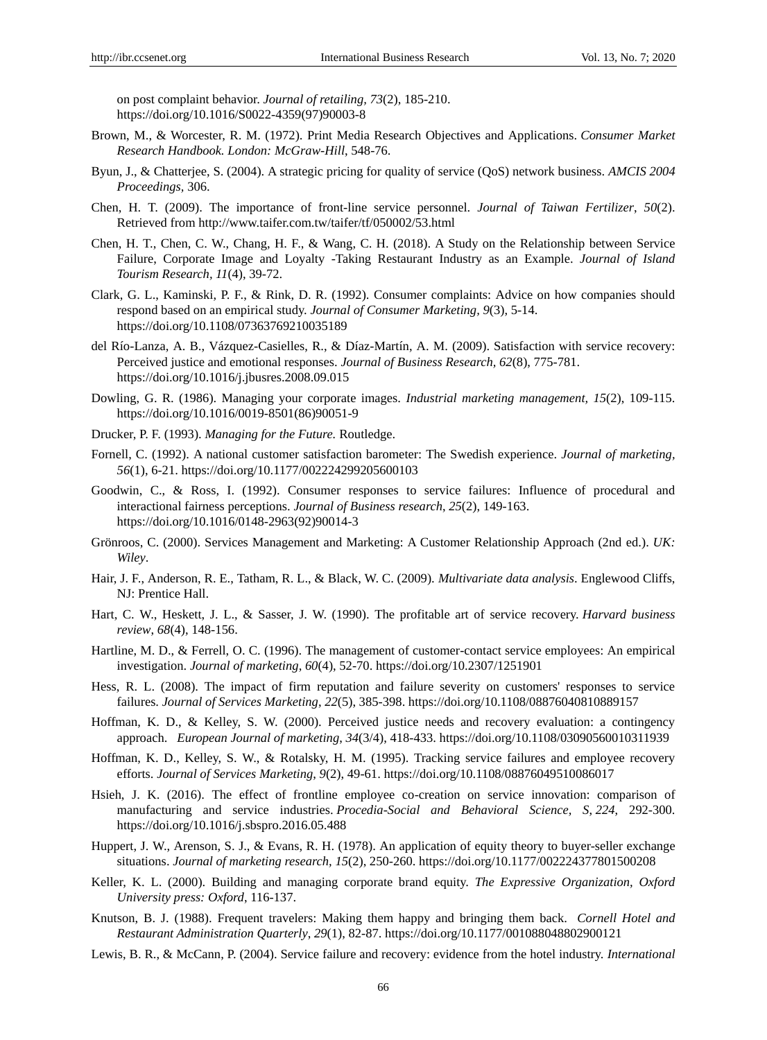on post complaint behavior. *Journal of retailing, 73*(2), 185-210. https://doi.org/10.1016/S0022-4359(97)90003-8

- Brown, M., & Worcester, R. M. (1972). Print Media Research Objectives and Applications. *Consumer Market Research Handbook. London: McGraw-Hill*, 548-76.
- Byun, J., & Chatterjee, S. (2004). A strategic pricing for quality of service (QoS) network business. *AMCIS 2004 Proceedings,* 306.
- Chen, H. T. (2009). The importance of front-line service personnel. *Journal of Taiwan Fertilizer*, *50*(2). Retrieved from http://www.taifer.com.tw/taifer/tf/050002/53.html
- Chen, H. T., Chen, C. W., Chang, H. F., & Wang, C. H. (2018). A Study on the Relationship between Service Failure, Corporate Image and Loyalty -Taking Restaurant Industry as an Example. *Journal of Island Tourism Research, 11*(4), 39-72.
- Clark, G. L., Kaminski, P. F., & Rink, D. R. (1992). Consumer complaints: Advice on how companies should respond based on an empirical study. *Journal of Consumer Marketing, 9*(3), 5-14. https://doi.org/10.1108/07363769210035189
- del R 6-Lanza, A. B., V ázquez-Casielles, R., & D áz-Mart n, A. M. (2009). Satisfaction with service recovery: Perceived justice and emotional responses. *Journal of Business Research, 62*(8), 775-781. https://doi.org/10.1016/j.jbusres.2008.09.015
- Dowling, G. R. (1986). Managing your corporate images. *Industrial marketing management, 15*(2), 109-115. https://doi.org/10.1016/0019-8501(86)90051-9
- Drucker, P. F. (1993). *Managing for the Future.* Routledge.
- Fornell, C. (1992). A national customer satisfaction barometer: The Swedish experience. *Journal of marketing, 56*(1), 6-21. https://doi.org/10.1177/002224299205600103
- Goodwin, C., & Ross, I. (1992). Consumer responses to service failures: Influence of procedural and interactional fairness perceptions. *Journal of Business research*, *25*(2), 149-163. https://doi.org/10.1016/0148-2963(92)90014-3
- Grönroos, C. (2000). Services Management and Marketing: A Customer Relationship Approach (2nd ed.). *UK: Wiley*.
- Hair, J. F., Anderson, R. E., Tatham, R. L., & Black, W. C. (2009). *Multivariate data analysis*. Englewood Cliffs, NJ: Prentice Hall.
- Hart, C. W., Heskett, J. L., & Sasser, J. W. (1990). The profitable art of service recovery. *Harvard business review*, *68*(4), 148-156.
- Hartline, M. D., & Ferrell, O. C. (1996). The management of customer-contact service employees: An empirical investigation. *Journal of marketing*, *60*(4), 52-70. https://doi.org/10.2307/1251901
- Hess, R. L. (2008). The impact of firm reputation and failure severity on customers' responses to service failures. *Journal of Services Marketing*, *22*(5), 385-398. https://doi.org/10.1108/08876040810889157
- Hoffman, K. D., & Kelley, S. W. (2000). Perceived justice needs and recovery evaluation: a contingency approach. *European Journal of marketing*, *34*(3/4), 418-433. https://doi.org/10.1108/03090560010311939
- Hoffman, K. D., Kelley, S. W., & Rotalsky, H. M. (1995). Tracking service failures and employee recovery efforts. *Journal of Services Marketing*, *9*(2), 49-61. https://doi.org/10.1108/08876049510086017
- Hsieh, J. K. (2016). The effect of frontline employee co-creation on service innovation: comparison of manufacturing and service industries. *Procedia-Social and Behavioral Science, S*, *224*, 292-300. https://doi.org/10.1016/j.sbspro.2016.05.488
- Huppert, J. W., Arenson, S. J., & Evans, R. H. (1978). An application of equity theory to buyer-seller exchange situations. *Journal of marketing research, 15*(2), 250-260. [https://doi.org/10.1177/002224377801500208](https://doi.org/10.1177%2F002224377801500208)
- Keller, K. L. (2000). Building and managing corporate brand equity. *The Expressive Organization, Oxford University press: Oxford*, 116-137.
- Knutson, B. J. (1988). Frequent travelers: Making them happy and bringing them back. *Cornell Hotel and Restaurant Administration Quarterly*, *29*(1), 82-87. https://doi.org/10.1177/001088048802900121
- Lewis, B. R., & McCann, P. (2004). Service failure and recovery: evidence from the hotel industry. *International*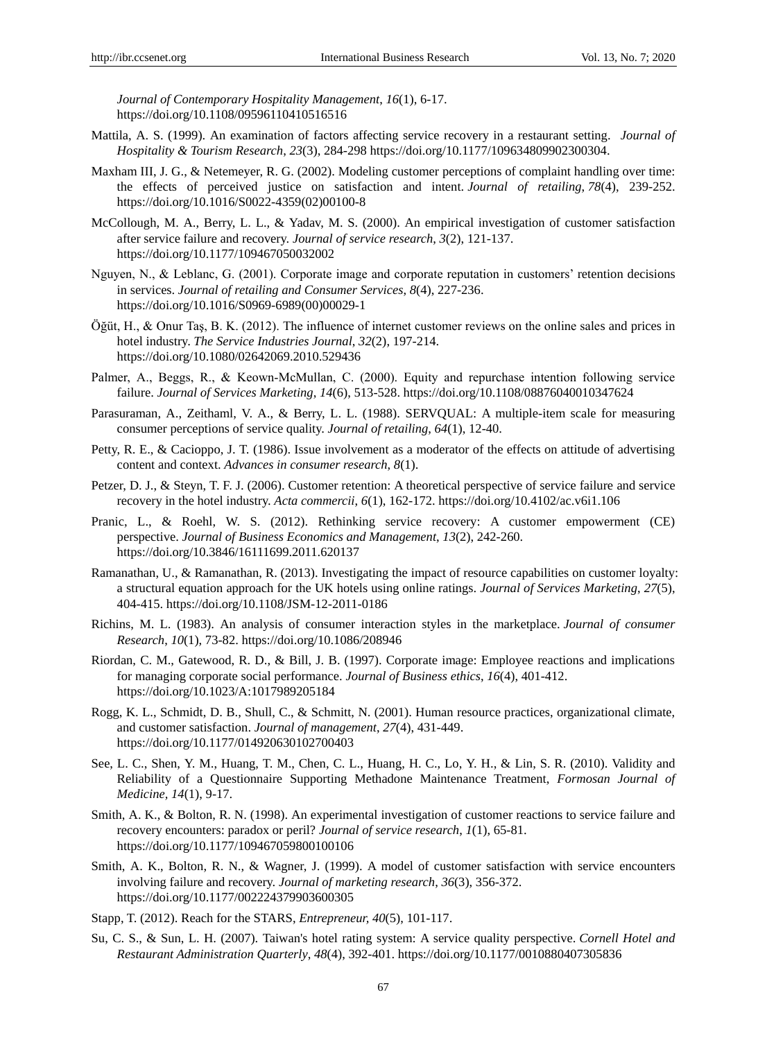*Journal of Contemporary Hospitality Management*, *16*(1), 6-17. https://doi.org/10.1108/09596110410516516

- Mattila, A. S. (1999). An examination of factors affecting service recovery in a restaurant setting. *Journal of Hospitality & Tourism Research*, *23*(3), 284-298 https://doi.org/10.1177/109634809902300304.
- Maxham III, J. G., & Netemeyer, R. G. (2002). Modeling customer perceptions of complaint handling over time: the effects of perceived justice on satisfaction and intent. *Journal of retailing*, *78*(4), 239-252. https://doi.org/10.1016/S0022-4359(02)00100-8
- McCollough, M. A., Berry, L. L., & Yadav, M. S. (2000). An empirical investigation of customer satisfaction after service failure and recovery. *Journal of service research*, *3*(2), 121-137. https://doi.org/10.1177/109467050032002
- Nguyen, N., & Leblanc, G. (2001). Corporate image and corporate reputation in customers' retention decisions in services. *Journal of retailing and Consumer Services*, *8*(4), 227-236. https://doi.org/10.1016/S0969-6989(00)00029-1
- Öğüt, H., & Onur Taş, B. K. (2012). The influence of internet customer reviews on the online sales and prices in hotel industry. *The Service Industries Journal*, *32*(2), 197-214. https://doi.org/10.1080/02642069.2010.529436
- Palmer, A., Beggs, R., & Keown-McMullan, C. (2000). Equity and repurchase intention following service failure. *Journal of Services Marketing*, *14*(6), 513-528. https://doi.org/10.1108/08876040010347624
- Parasuraman, A., Zeithaml, V. A., & Berry, L. L. (1988). SERVQUAL: A multiple-item scale for measuring consumer perceptions of service quality. *Journal of retailing*, *64*(1), 12-40.
- Petty, R. E., & Cacioppo, J. T. (1986). Issue involvement as a moderator of the effects on attitude of advertising content and context. *Advances in consumer research*, *8*(1).
- Petzer, D. J., & Steyn, T. F. J. (2006). Customer retention: A theoretical perspective of service failure and service recovery in the hotel industry. *Acta commercii*, *6*(1), 162-172. https://doi.org/10.4102/ac.v6i1.106
- Pranic, L., & Roehl, W. S. (2012). Rethinking service recovery: A customer empowerment (CE) perspective. *Journal of Business Economics and Management*, *13*(2), 242-260. https://doi.org/10.3846/16111699.2011.620137
- Ramanathan, U., & Ramanathan, R. (2013). Investigating the impact of resource capabilities on customer loyalty: a structural equation approach for the UK hotels using online ratings. *Journal of Services Marketing*, *27*(5), 404-415. https://doi.org/10.1108/JSM-12-2011-0186
- Richins, M. L. (1983). An analysis of consumer interaction styles in the marketplace. *Journal of consumer Research*, *10*(1), 73-82. https://doi.org/10.1086/208946
- Riordan, C. M., Gatewood, R. D., & Bill, J. B. (1997). Corporate image: Employee reactions and implications for managing corporate social performance. *Journal of Business ethics*, *16*(4), 401-412. https://doi.org/10.1023/A:1017989205184
- Rogg, K. L., Schmidt, D. B., Shull, C., & Schmitt, N. (2001). Human resource practices, organizational climate, and customer satisfaction. *Journal of management*, *27*(4), 431-449. https://doi.org/10.1177/014920630102700403
- See, L. C., Shen, Y. M., Huang, T. M., Chen, C. L., Huang, H. C., Lo, Y. H., & Lin, S. R. (2010). Validity and Reliability of a Questionnaire Supporting Methadone Maintenance Treatment, *Formosan Journal of Medicine, 14*(1), 9-17.
- Smith, A. K., & Bolton, R. N. (1998). An experimental investigation of customer reactions to service failure and recovery encounters: paradox or peril? *Journal of service research*, *1*(1), 65-81. https://doi.org/10.1177/109467059800100106
- Smith, A. K., Bolton, R. N., & Wagner, J. (1999). A model of customer satisfaction with service encounters involving failure and recovery. *Journal of marketing research*, *36*(3), 356-372. https://doi.org/10.1177/002224379903600305
- Stapp, T. (2012). Reach for the STARS, *Entrepreneur, 40*(5), 101-117.
- Su, C. S., & Sun, L. H. (2007). Taiwan's hotel rating system: A service quality perspective. *Cornell Hotel and Restaurant Administration Quarterly*, *48*(4), 392-401. https://doi.org/10.1177/0010880407305836